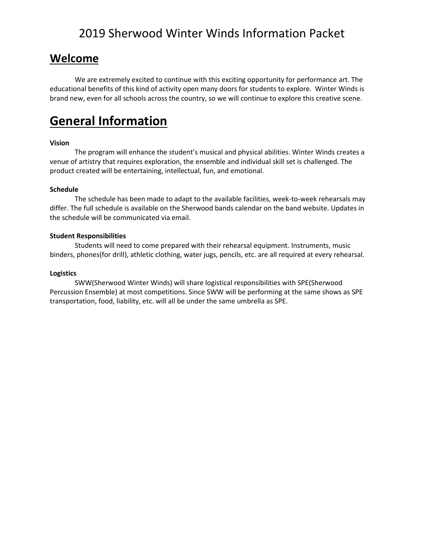### **Welcome**

We are extremely excited to continue with this exciting opportunity for performance art. The educational benefits of this kind of activity open many doors for students to explore. Winter Winds is brand new, even for all schools across the country, so we will continue to explore this creative scene.

### **General Information**

#### **Vision**

The program will enhance the student's musical and physical abilities. Winter Winds creates a venue of artistry that requires exploration, the ensemble and individual skill set is challenged. The product created will be entertaining, intellectual, fun, and emotional.

#### **Schedule**

The schedule has been made to adapt to the available facilities, week-to-week rehearsals may differ. The full schedule is available on the Sherwood bands calendar on the band website. Updates in the schedule will be communicated via email.

#### **Student Responsibilities**

Students will need to come prepared with their rehearsal equipment. Instruments, music binders, phones(for drill), athletic clothing, water jugs, pencils, etc. are all required at every rehearsal.

#### **Logistics**

SWW(Sherwood Winter Winds) will share logistical responsibilities with SPE(Sherwood Percussion Ensemble) at most competitions. Since SWW will be performing at the same shows as SPE transportation, food, liability, etc. will all be under the same umbrella as SPE.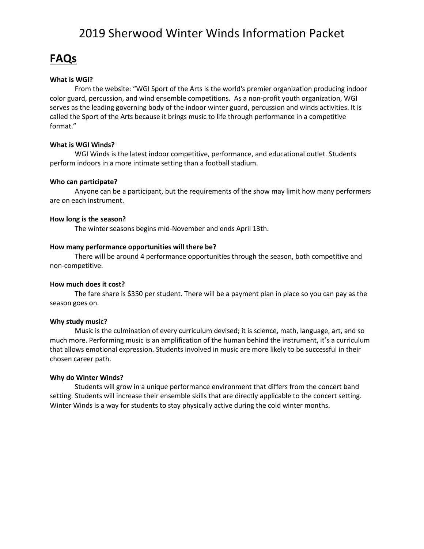### **FAQs**

#### **What is WGI?**

From the website: "WGI Sport of the Arts is the world's premier organization producing indoor color guard, percussion, and wind ensemble competitions. As a non-profit youth organization, WGI serves as the leading governing body of the indoor winter guard, percussion and winds activities. It is called the Sport of the Arts because it brings music to life through performance in a competitive format."

#### **What is WGI Winds?**

WGI Winds is the latest indoor competitive, performance, and educational outlet. Students perform indoors in a more intimate setting than a football stadium.

#### **Who can participate?**

Anyone can be a participant, but the requirements of the show may limit how many performers are on each instrument.

#### **How long is the season?**

The winter seasons begins mid-November and ends April 13th.

#### **How many performance opportunities will there be?**

There will be around 4 performance opportunities through the season, both competitive and non-competitive.

#### **How much does it cost?**

The fare share is \$350 per student. There will be a payment plan in place so you can pay as the season goes on.

#### **Why study music?**

Music is the culmination of every curriculum devised; it is science, math, language, art, and so much more. Performing music is an amplification of the human behind the instrument, it's a curriculum that allows emotional expression. Students involved in music are more likely to be successful in their chosen career path.

#### **Why do Winter Winds?**

Students will grow in a unique performance environment that differs from the concert band setting. Students will increase their ensemble skills that are directly applicable to the concert setting. Winter Winds is a way for students to stay physically active during the cold winter months.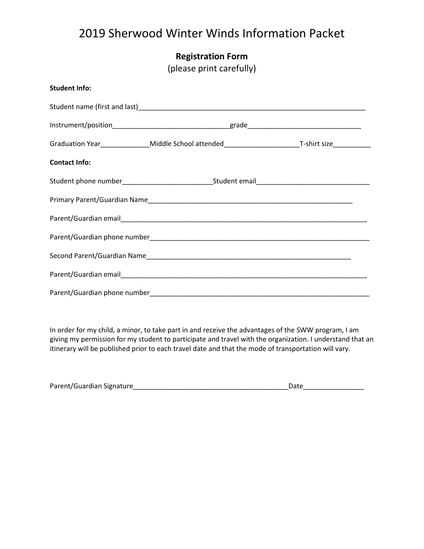|  | <b>Registration Form</b> |  |
|--|--------------------------|--|
|  |                          |  |

(please print carefully)

| <b>Student Info:</b> |                                                                                                           |  |  |  |
|----------------------|-----------------------------------------------------------------------------------------------------------|--|--|--|
|                      |                                                                                                           |  |  |  |
|                      |                                                                                                           |  |  |  |
|                      | Graduation Year_______________Middle School attended___________________________T-shirt size______________ |  |  |  |
| <b>Contact Info:</b> |                                                                                                           |  |  |  |
|                      | Student phone number__________________________________Student email_________________________________      |  |  |  |
|                      |                                                                                                           |  |  |  |
|                      |                                                                                                           |  |  |  |
|                      |                                                                                                           |  |  |  |
|                      |                                                                                                           |  |  |  |
|                      |                                                                                                           |  |  |  |
|                      |                                                                                                           |  |  |  |

In order for my child, a minor, to take part in and receive the advantages of the SWW program, I am giving my permission for my student to participate and travel with the organization. I understand that an itinerary will be published prior to each travel date and that the mode of transportation will vary.

| Parent/Guardian Signature | Date |
|---------------------------|------|
|---------------------------|------|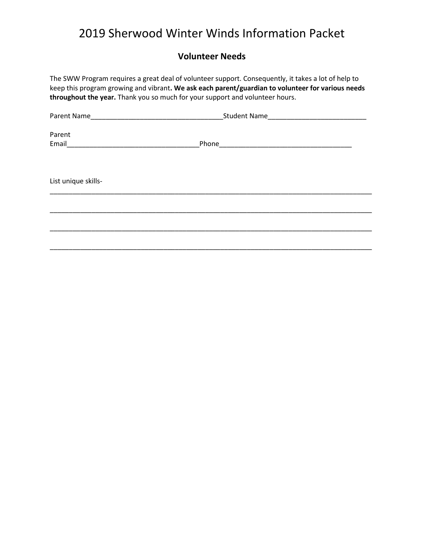### **Volunteer Needs**

The SWW Program requires a great deal of volunteer support. Consequently, it takes a lot of help to keep this program growing and vibrant**. We ask each parent/guardian to volunteer for various needs throughout the year.** Thank you so much for your support and volunteer hours.

| Parent Name         | Student Name                                                       |  |
|---------------------|--------------------------------------------------------------------|--|
| Parent              |                                                                    |  |
|                     |                                                                    |  |
| Email               | Phone<br><u> 1980 - Andrea Andrewski, fransk politik (d. 1980)</u> |  |
|                     |                                                                    |  |
|                     |                                                                    |  |
| List unique skills- |                                                                    |  |
|                     |                                                                    |  |
|                     |                                                                    |  |
|                     |                                                                    |  |
|                     |                                                                    |  |
|                     |                                                                    |  |
|                     |                                                                    |  |